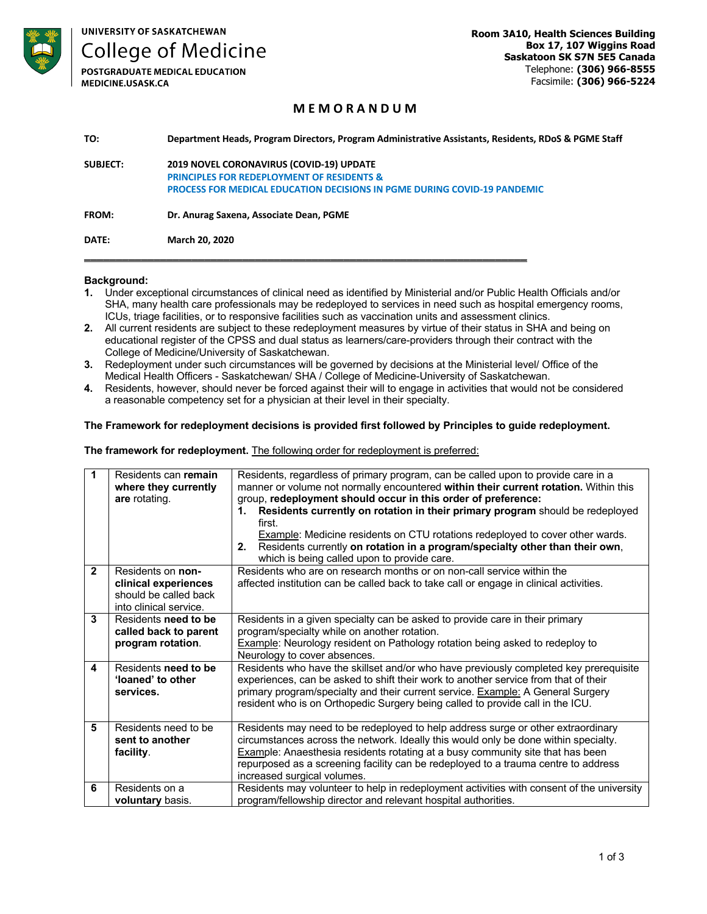

**College of Medicine** 

**POSTGRADUATE MEDICAL EDUCATION** MEDICINE.USASK.CA

# **M E M O R A N D U M**

| <b>SUBJECT:</b> | 2019 NOVEL CORONAVIRUS (COVID-19) UPDATE<br><b>PRINCIPLES FOR REDEPLOYMENT OF RESIDENTS &amp;</b><br><b>PROCESS FOR MEDICAL EDUCATION DECISIONS IN PGME DURING COVID-19 PANDEMIC</b> |
|-----------------|--------------------------------------------------------------------------------------------------------------------------------------------------------------------------------------|
| FROM:           | Dr. Anurag Saxena, Associate Dean, PGME                                                                                                                                              |
| DATE:           | <b>March 20, 2020</b>                                                                                                                                                                |

#### **Background:**

- **1.** Under exceptional circumstances of clinical need as identified by Ministerial and/or Public Health Officials and/or SHA, many health care professionals may be redeployed to services in need such as hospital emergency rooms, ICUs, triage facilities, or to responsive facilities such as vaccination units and assessment clinics.
- **2.** All current residents are subject to these redeployment measures by virtue of their status in SHA and being on educational register of the CPSS and dual status as learners/care-providers through their contract with the College of Medicine/University of Saskatchewan.
- **3.** Redeployment under such circumstances will be governed by decisions at the Ministerial level/ Office of the Medical Health Officers - Saskatchewan/ SHA / College of Medicine-University of Saskatchewan.
- **4.** Residents, however, should never be forced against their will to engage in activities that would not be considered a reasonable competency set for a physician at their level in their specialty.

#### **The Framework for redeployment decisions is provided first followed by Principles to guide redeployment.**

## **The framework for redeployment.** The following order for redeployment is preferred:

| 1            | Residents can remain<br>where they currently<br>are rotating.                                | Residents, regardless of primary program, can be called upon to provide care in a<br>manner or volume not normally encountered within their current rotation. Within this<br>group, redeployment should occur in this order of preference:<br>Residents currently on rotation in their primary program should be redeployed<br>1.<br>first.<br>Example: Medicine residents on CTU rotations redeployed to cover other wards.<br>Residents currently on rotation in a program/specialty other than their own,<br>2.<br>which is being called upon to provide care. |
|--------------|----------------------------------------------------------------------------------------------|-------------------------------------------------------------------------------------------------------------------------------------------------------------------------------------------------------------------------------------------------------------------------------------------------------------------------------------------------------------------------------------------------------------------------------------------------------------------------------------------------------------------------------------------------------------------|
| $\mathbf{2}$ | Residents on non-<br>clinical experiences<br>should be called back<br>into clinical service. | Residents who are on research months or on non-call service within the<br>affected institution can be called back to take call or engage in clinical activities.                                                                                                                                                                                                                                                                                                                                                                                                  |
| 3            | Residents need to be<br>called back to parent<br>program rotation.                           | Residents in a given specialty can be asked to provide care in their primary<br>program/specialty while on another rotation.<br>Example: Neurology resident on Pathology rotation being asked to redeploy to<br>Neurology to cover absences.                                                                                                                                                                                                                                                                                                                      |
| 4            | Residents need to be<br>'loaned' to other<br>services.                                       | Residents who have the skillset and/or who have previously completed key prerequisite<br>experiences, can be asked to shift their work to another service from that of their<br>primary program/specialty and their current service. Example: A General Surgery<br>resident who is on Orthopedic Surgery being called to provide call in the ICU.                                                                                                                                                                                                                 |
| 5            | Residents need to be<br>sent to another<br>facility.                                         | Residents may need to be redeployed to help address surge or other extraordinary<br>circumstances across the network. Ideally this would only be done within specialty.<br><b>Example:</b> Anaesthesia residents rotating at a busy community site that has been<br>repurposed as a screening facility can be redeployed to a trauma centre to address<br>increased surgical volumes.                                                                                                                                                                             |
| 6            | Residents on a<br>voluntary basis.                                                           | Residents may volunteer to help in redeployment activities with consent of the university<br>program/fellowship director and relevant hospital authorities.                                                                                                                                                                                                                                                                                                                                                                                                       |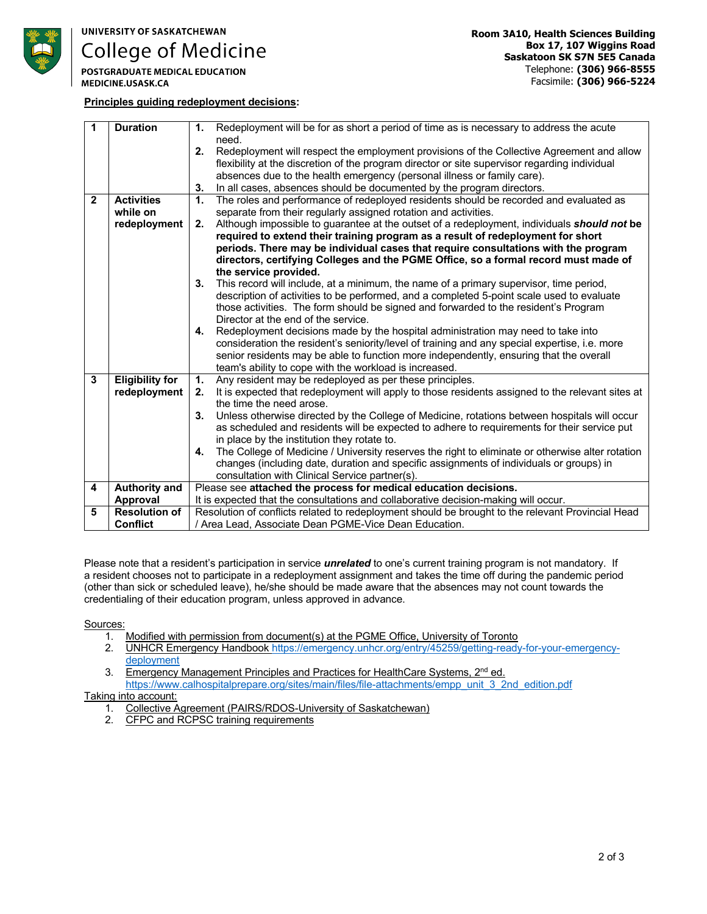

**College of Medicine** 

**POSTGRADUATE MEDICAL EDUCATION** MEDICINE.USASK.CA

### **Principles guiding redeployment decisions:**

| 1              | <b>Duration</b>        | Redeployment will be for as short a period of time as is necessary to address the acute<br>1.            |
|----------------|------------------------|----------------------------------------------------------------------------------------------------------|
|                |                        | need.                                                                                                    |
|                |                        | 2.<br>Redeployment will respect the employment provisions of the Collective Agreement and allow          |
|                |                        | flexibility at the discretion of the program director or site supervisor regarding individual            |
|                |                        | absences due to the health emergency (personal illness or family care).                                  |
|                |                        | In all cases, absences should be documented by the program directors.<br>3.                              |
| $\overline{2}$ | <b>Activities</b>      | The roles and performance of redeployed residents should be recorded and evaluated as<br>1.              |
|                | while on               | separate from their regularly assigned rotation and activities.                                          |
|                | redeployment           | Although impossible to guarantee at the outset of a redeployment, individuals <i>should not</i> be<br>2. |
|                |                        | required to extend their training program as a result of redeployment for short                          |
|                |                        | periods. There may be individual cases that require consultations with the program                       |
|                |                        | directors, certifying Colleges and the PGME Office, so a formal record must made of                      |
|                |                        | the service provided.                                                                                    |
|                |                        | 3.<br>This record will include, at a minimum, the name of a primary supervisor, time period,             |
|                |                        | description of activities to be performed, and a completed 5-point scale used to evaluate                |
|                |                        | those activities. The form should be signed and forwarded to the resident's Program                      |
|                |                        | Director at the end of the service.                                                                      |
|                |                        | Redeployment decisions made by the hospital administration may need to take into<br>4.                   |
|                |                        | consideration the resident's seniority/level of training and any special expertise, i.e. more            |
|                |                        | senior residents may be able to function more independently, ensuring that the overall                   |
|                |                        | team's ability to cope with the workload is increased.                                                   |
| $\mathbf{3}$   | <b>Eligibility for</b> | Any resident may be redeployed as per these principles.<br>1.                                            |
|                | redeployment           | It is expected that redeployment will apply to those residents assigned to the relevant sites at<br>2.   |
|                |                        | the time the need arose.                                                                                 |
|                |                        | Unless otherwise directed by the College of Medicine, rotations between hospitals will occur<br>3.       |
|                |                        | as scheduled and residents will be expected to adhere to requirements for their service put              |
|                |                        | in place by the institution they rotate to.                                                              |
|                |                        | The College of Medicine / University reserves the right to eliminate or otherwise alter rotation<br>4.   |
|                |                        | changes (including date, duration and specific assignments of individuals or groups) in                  |
|                |                        | consultation with Clinical Service partner(s).                                                           |
| 4              | <b>Authority and</b>   | Please see attached the process for medical education decisions.                                         |
|                | Approval               | It is expected that the consultations and collaborative decision-making will occur.                      |
| 5              | <b>Resolution of</b>   | Resolution of conflicts related to redeployment should be brought to the relevant Provincial Head        |
|                | <b>Conflict</b>        | / Area Lead, Associate Dean PGME-Vice Dean Education.                                                    |

Please note that a resident's participation in service *unrelated* to one's current training program is not mandatory. If a resident chooses not to participate in a redeployment assignment and takes the time off during the pandemic period (other than sick or scheduled leave), he/she should be made aware that the absences may not count towards the credentialing of their education program, unless approved in advance.

Sources:

- 1. Modified with permission from document(s) at the PGME Office, University of Toronto
- 2. UNHCR Emergency Handbook https://emergency.unhcr.org/entry/45259/getting-ready-for-your-emergencydeployment
- 3. Emergency Management Principles and Practices for HealthCare Systems, 2<sup>nd</sup> ed. https://www.calhospitalprepare.org/sites/main/files/file-attachments/empp\_unit\_3\_2nd\_edition.pdf

### Taking into account:

- 1. Collective Agreement (PAIRS/RDOS-University of Saskatchewan)
- 2. CFPC and RCPSC training requirements